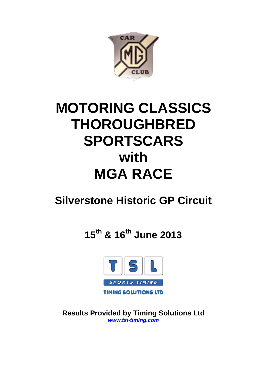

# **MOTORING CLASSICS THOROUGHBRED SPORTSCARS with MGA RACE**

# **Silverstone Historic GP Circuit**

**15th & 16th June 2013**



**Results Provided by Timing Solutions Ltd** *www.tsl-timing.com*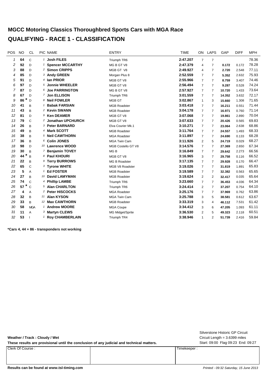# **MGCC Motoring Classics Thoroughbred Sports Cars with MGA Race QUALIFYING - RACE 1 - CLASSIFICATION**

| POS | <b>NO</b> | <b>CL</b>     | PIC NAME                |                               | <b>ENTRY</b>         | <b>TIME</b> | ON             | <b>LAPS</b>    | GAP    | <b>DIFF</b> | <b>MPH</b> |
|-----|-----------|---------------|-------------------------|-------------------------------|----------------------|-------------|----------------|----------------|--------|-------------|------------|
| 1   | 64        | $\mathsf{C}$  | <sup>1</sup> Josh FILES |                               | Triumph TR6          | 2:47.207    | 7              | $\overline{7}$ |        |             | 78.36      |
| 2   | 92        | D             |                         | <sup>1</sup> Spencer MCCARTHY | MG B GT V8           | 2:47.379    | 4              | 7              | 0.172  | 0.172       | 78.28      |
| 3   | 88        | D             |                         | 2 Simon CRIPPS                | MGB GT V8            | 2:49.927    | 4              | $\overline{7}$ | 2.720  | 2.548       | 77.11      |
| 4   | 85        | D             |                         | 3 Andy GREEN                  | Morgan Plus 8        | 2:52.559    | $\overline{7}$ | $\overline{7}$ | 5.352  | 2.632       | 75.93      |
| 5   | 91        | D             | 4 Ian PRIOR             |                               | MGB GT V8            | 2:55.966    | $\overline{7}$ | 7              | 8.759  | 3.407       | 74.46      |
| 6   | 97        | D             |                         | 5 Jonnie WHEELER              | MGB GT V8            | 2:56.494    | $\overline{7}$ | 7              | 9.287  | 0.528       | 74.24      |
| 7   | 87        | D             |                         | 6 Joe PARRINGTON              | MG B GT V8           | 2:57.927    | $\overline{7}$ | $\overline{7}$ | 10.720 | 1.433       | 73.64      |
| 8   | 67        | D             |                         | 7 Jon ELLISON                 | Triumph TR6          | 3:01.559    | 7              | 7              | 14.352 | 3.632       | 72.17      |
| 9   | *<br>86   | D             |                         | 8 Neil FOWLER                 | MGB GT               | 3:02.867    | $\mathbf{1}$   | 3              | 15.660 | 1.308       | 71.65      |
| 10  | 41        | B             |                         | <b>Babak FARSIAN</b>          | <b>MGB Roadster</b>  | 3:03.418    | 7              | 7              | 16.211 | 0.551       | 71.44      |
| 11  | 43        | B             |                         | 2 Kevin SWANN                 | <b>MGB Roadster</b>  | 3:04.178    | $\overline{7}$ | 7              | 16.971 | 0.760       | 71.14      |
| 12  | 81        | D             |                         | 9 Ken DEAMER                  | MGB GT V8            | 3:07.068    | $\overline{7}$ | 7              | 19.861 | 2.890       | 70.04      |
| 13  | 79        | $\mathsf{C}$  |                         | 2 Jonathan UPCHURCH           | MGB GT V8            | 3:07.633    | $\overline{7}$ | 7              | 20.426 | 0.565       | 69.83      |
| 14  | 26        | B             |                         | 3 Peter BARNARD               | Elva Courier Mk.1    | 3:10.271    | $\overline{7}$ | 7              | 23.064 | 2.638       | 68.86      |
| 15  | 49        | B             |                         | 4 Mark SCOTT                  | <b>MGB Roadster</b>  | 3:11.764    | $\overline{7}$ | 7              | 24.557 | 1.493       | 68.33      |
| 16  | 38        | B             |                         | 5 Neil CAWTHORN               | <b>MGA Roadster</b>  | 3:11.897    | $\overline{7}$ | $\overline{7}$ | 24.690 | 0.133       | 68.28      |
| 17  | 36        | B             |                         | 6 Colin JONES                 | <b>MGA Twin Cam</b>  | 3:11.926    | $\overline{2}$ | 5              | 24.719 | 0.029       | 68.27      |
| 18  | 98        | D             |                         | 10 Lawrence WOOD              | MGB Costello GT V8   | 3:14.576    | $\overline{7}$ | $\overline{7}$ | 27.369 | 2.650       | 67.34      |
| 19  | 30        | B             |                         | 7 Benjamin TOVEY              | MG <sub>B</sub>      | 3:16.849    | $\overline{7}$ | 7              | 29.642 | 2.273       | 66.56      |
| 20  | *<br>44   | B             |                         | 8 Paul KHOURI                 | MGB GT V8            | 3:16.965    | 3              | 7              | 29.758 | 0.116       | 66.52      |
| 21  | 22        | B             |                         | <sup>9</sup> Terry BURROWS    | <b>MG B Roadster</b> | 3:17.135    | $\overline{7}$ | 7              | 29.928 | 0.170       | 66.47      |
| 22  | 65        | $\mathsf{C}$  |                         | 3 Tyrone WHITE                | MGB V8 Roadster      | 3:19.026    | $\overline{7}$ | 7              | 31.819 | 1.891       | 65.83      |
| 23  | 5         | A             | 1 Ed FOSTER             |                               | <b>MGB Roadster</b>  | 3:19.589    | $\overline{7}$ | 7              | 32.382 | 0.563       | 65.65      |
| 24  | 27        | B             |                         | 10 David LAMYMAN              | <b>MGB Roadster</b>  | 3:19.624    | $\overline{2}$ | 2              | 32.417 | 0.035       | 65.64      |
| 25  | 74        | $\mathcal{C}$ |                         | 4 Phillip LAMBE               | Triumph TR6          | 3:23.660    | $\overline{7}$ | 7              | 36.453 | 4.036       | 64.34      |
| 26  | *<br>57   | $\mathsf{C}$  |                         | 5 Alan CHARLTON               | Triumph TR6          | 3:24.414    | $\overline{2}$ | 7              | 37.207 | 0.754       | 64.10      |
| 27  | 4         | A             |                         | 2 Peter HISCOCKS              | <b>MGA Roadster</b>  | 3:25.176    | $\overline{7}$ | 7              | 37.969 | 0.762       | 63.86      |
| 28  | 32        | B             | 11 Alan KYSON           |                               | <b>MGA Twin Cam</b>  | 3:25.788    | 3              | 5              | 38.581 | 0.612       | 63.67      |
| 29  | 33        | B             |                         | 12 Max CAWTHORN               | <b>MGB Roadster</b>  | 3:33.319    | 3              | 4              | 46.112 | 7.531       | 61.42      |
| 30  | 58        | <b>MGA</b>    |                         | <sup>1</sup> Andrew MOORE     | <b>MGA Coupe</b>     | 3:34.412    | 3              | 6              | 47.205 | 1.093       | 61.11      |
| 31  | 11        | A             |                         | 3 Martyn CLEWS                | MG Midget/Sprite     | 3:36.530    | 2              | 5              | 49.323 | 2.118       | 60.51      |
| 32  | 53        |               |                         | <sup>1</sup> Roy CHAMBERLAIN  | Triumph TR4          | 3:38.946    | $\mathbf{1}$   | $\overline{2}$ | 51.739 | 2.416       | 59.84      |

**\*Cars 4, 44 + 86 - transponders not working**

**Weather / Track : Cloudy / Wet**

These results are provisional until the conclusion of any judicial and technical matters. Start: 09:00 Flag 09:23 End: 09:27

Clerk Of Course : Timekeeper :

Circuit Length = 3.6399 miles Silverstone Historic GP Circuit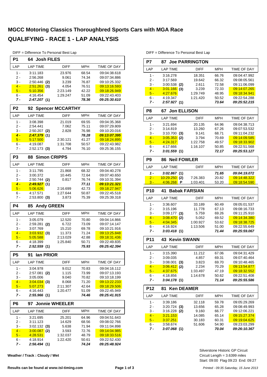DIFF = Difference To Personal Best Lap

|                  | DIFF = Dillefence TO Personal Best Lap |                         |            |                            |
|------------------|----------------------------------------|-------------------------|------------|----------------------------|
| P <sub>1</sub>   | <b>Josh FILES</b><br>64                |                         |            |                            |
| LAP              | <b>LAP TIME</b>                        | <b>DIFF</b>             | <b>MPH</b> | <b>TIME OF DAY</b>         |
| $1 -$            | 3:11.183                               | 23.976                  | 68.54      | 09:04:38.618               |
| 2 -              | 2:56.268                               | 9.061                   | 74.34      | 09:07:34.886               |
| 3 -              | 2:50.446<br>(2)                        | 3.239                   | 76.87      | 09:10:25.332               |
| $4 -$            | <u>2:51.261</u><br>(3)                 | 4.054                   | 76.51      | 09:13:16.593               |
| $5 -$            | 5:10.356                               | 2:23.149                | 42.22      | 09:18:26.949               |
| 6 -              | 4:16.454                               | 1:29.247                | 51.09      | 09:22:43.403               |
| 7 -              | 2:47.207(1)                            |                         | 78.36      | 09:25:30.610               |
| P <sub>2</sub>   | 92                                     | <b>Spencer MCCARTHY</b> |            |                            |
| LAP              | <b>LAP TIME</b>                        | <b>DIFF</b>             | <b>MPH</b> | TIME OF DAY                |
| $1 -$            | 3:08.398                               | 21.019                  | 69.55      | 09:04:35.368               |
| 2 -              | 2:54.441                               | 7.062                   | 75.11      | 09:07:29.809               |
| 3 -              | 2:50.207<br>(2)                        | 2.828                   | 76.98      | 09:10:20.016               |
| $4 -$            | 2:47.379<br>(1)                        |                         | 78.28      | 09:13:07.395               |
| $5 -$            | 5:17.500                               | 2:30.121                | 41.27      | 09:18:24.895               |
| 6 -              | 4:19.087                               | 1:31.708                | 50.57      | 09:22:43.982               |
| $7 -$            | $2:52.173$ (3)                         | 4.794                   | 76.10      | 09:25:36.155               |
| P <sub>3</sub>   | <b>Simon CRIPPS</b><br>88              |                         |            |                            |
| LAP              | <b>LAP TIME</b>                        | <b>DIFF</b>             | <b>MPH</b> | <b>TIME OF DAY</b>         |
| $1 -$            | 3:11.795                               | 21.868                  | 68.32      | 09:04:40.278               |
| 2 -              | 3:00.372                               | 10.445                  | 72.64      | 09:07:40.650               |
| 3 -              | $2:50.744$ (2)                         | 0.817                   | 76.74      | 09:10:31.394               |
| $\overline{4}$ - | $2:49.927$ (1)                         |                         | 77.11      | 09:13:21.321               |
| $5 -$            | 5:06.626                               | 2:16.699                | 42.73      | 09:18:27.947               |
| 6 -              | 4:17.571                               | 1:27.644                | 50.87      | 09:22:45.518               |
| $7 -$            | $2:53.800$ (3)                         | 3.873                   | 75.39      | 09:25:39.318               |
| P4               | <b>Andy GREEN</b><br>85                |                         |            |                            |
| LAP              | <b>LAP TIME</b>                        | <b>DIFF</b>             | <b>MPH</b> | TIME OF DAY                |
| 1 -              | 3:05.079                               | 12.520                  | 70.80      | 09:04:14.866               |
| 2 -              | 2:59.281<br>(2)                        | 6.722                   | 73.09      | 09:07:14.147               |
| 3 -              | 3:07.769                               | 15.210                  | 69.78      | 09:10:21.916               |
| $4 -$            | $3:03.932$ (3)                         | 11.373                  | 71.24      | 09:13:25.848               |
| $5 -$            | 5:05.588                               | 2:13.029                | 42.88      | 09:18:31.436               |
| 6 -              | 4:18.399                               | 1:25.840                | 50.71      | 09:22:49.835               |
| 7 -              | 2:52.559(1)                            |                         | 75.93      | 09:25:42.394               |
| P5               | 91<br>lan PRIOR                        |                         |            |                            |
| LAP              | <b>LAP TIME</b>                        | DIFF                    | MPH        | TIME OF DAY                |
| 1 -              | 3:04.978                               | 9.012                   | 70.83      | 09:04:16.112               |
| 2 -              | 2:57.081<br>(2)                        | 1.115                   | 73.99      | 09:07:13.193               |
| 3 -              | 3:05.006                               | 9.040                   | 70.82      | 09:10:18.199               |
| $4 -$            | 3:04.034(3)                            | 8.068                   | 71.20      | 09:13:22.233               |
| $5 -$            | 5:07.273                               | 2:11.307                | 42.64      | 09:18:29.506               |
| 6 -              | 4:16.443                               | 1:20.477                | 51.09      | 09:22:45.949               |
| 7 -              | 2:55.966(1)                            |                         | 74.46      | <i><b>09:25:41.915</b></i> |
| P6               | 97                                     | <b>Jonnie WHEELER</b>   |            |                            |
| LAP              | <b>LAP TIME</b>                        | <b>DIFF</b>             | MPH        | TIME OF DAY                |
| $1 -$            | 3:21.695                               | 25.201                  | 64.96      | 09:04:51.643               |
| 2 -              | 3:11.123                               | 14.629                  | 68.56      | 09:08:02.766               |
| 3 -              | $3:02.132$ (3)                         | 5.638                   | 71.94      | 09:11:04.898               |
| $4 -$            | 3.00.087(2)                            | 3.593                   | 72.76      | 09:14:04.985               |
| $5 -$            | <u>4:28.531</u>                        | 1:32.037                | 48.79      | 09:18:33.516               |

**Weather / Track : Cloudy / Wet**

DIFF = Difference To Personal Best Lap

| P7              |                         | <b>87 Joe PARRINGTON</b> |                |                              |
|-----------------|-------------------------|--------------------------|----------------|------------------------------|
| LAP             | <b>LAP TIME</b>         | <b>DIFF</b>              | <b>MPH</b>     | <b>TIME OF DAY</b>           |
| $1 -$           | 3:16.278                | 18.351                   | 66.76          | 09:04:47.992                 |
| 2 -             | 3:17.569                | 19.642                   | 66.32          | 09:08:05.561                 |
| 3 -             | $3:00.538$ (2)          | 2.611                    | 72.58          | 09:11:06.099                 |
| $4 -$           | $3:01.166$ (3)          | 3.239                    | 72.33          | 09:14:07.265                 |
| $5 -$           | 4:27.676                | 1:29.749                 | 48.95          | 09:18:34.941                 |
| 6 -             | 4:19.347                | 1:21.420                 | 50.52          | 09:22:54.288                 |
| 7 -             | 2:57.927(1)             |                          | 73.64          | 09:25:52.215                 |
| P8              | 67                      | <b>Jon ELLISON</b>       |                |                              |
| LAP             | <b>LAP TIME</b>         | <b>DIFF</b>              | <b>MPH</b>     | TIME OF DAY                  |
| $1 -$           | 3:21.694                | 20.135                   | 64.96          | 09:04:38.713                 |
| 2 -             | 3:14.819                | 13.260                   | 67.26          | 09:07:53.532                 |
| 3 -             | $3:10.700$ (3)          | 9.141                    | 68.71          | 09:11:04.232                 |
| $4 -$           | 3.05.353(2)             | 3.794                    | 70.69          | 09:14:09.585                 |
| $5 -$           | 4:24.317                | 1:22.758                 | 49.57          | 09:18:33.902                 |
| 6 -             | 4:17.666                | 1:16.107                 | 50.85          | 09:22:51.568                 |
| 7 -             | 3:01.559(1)             |                          | 72.17          | 09:25:53.127                 |
| P <sub>9</sub>  | 86                      | <b>Neil FOWLER</b>       |                |                              |
| LAP             | <b>LAP TIME</b>         | <b>DIFF</b>              | <b>MPH</b>     | <b>TIME OF DAY</b>           |
| 1 -             | 3:02.867(1)             |                          | 71.65          | 09:04:19.072                 |
| $2 -$           | $10:29.250$ (2)         | 7:26.383                 | 20.82          | 09:14:48.322                 |
| $3 -$           | $4.06.268$ P            | 1:03.401                 | 53.20          | 09:18:54.590                 |
| <b>P10</b>      | 41                      | <b>Babak FARSIAN</b>     |                |                              |
| LAP             | <b>LAP TIME</b>         | <b>DIFF</b>              | <b>MPH</b>     | <b>TIME OF DAY</b>           |
| $1 -$           | 3:36.607                | 33.189                   | 60.49          | 09:05:01.537                 |
| 2 -             | 3:15.196                | 11.778                   | 67.13          | 09:08:16.733                 |
| 3 -             | $3:09.177$ (3)          | 5.759                    | 69.26          | 09:11:25.910                 |
| $4 -$           | 3:08.470<br>(2)         | 5.052                    | 69.52          | 09:14:34.380                 |
| $5 -$           | 4:04.345                | 1:00.927                 | 53.62          | 09:18:38.725                 |
| 6 -<br>7 -      | 4:16.924<br>3:03.418(1) | 1:13.506                 | 51.00<br>71.44 | 09:22:55.649<br>09:25:59.067 |
|                 |                         |                          |                |                              |
| P <sub>11</sub> | <b>43 Kevin SWANN</b>   |                          |                |                              |
| LAP             | <b>LAP TIME</b>         | <b>DIFF</b>              | <b>MPH</b>     | TIME OF DAY                  |
| $1 -$           | 3:15.390                | 11.212                   | 67.06          | 09:04:31.429                 |
| 2 -             | 3:09.035                | 4.857                    | 69.31          | 09:07:40.464                 |
| 3 -             | $3:08.001$ (3)          | 3.823                    | 69.70          | 09:10:48.465                 |
| $4 -$           | 3.06.412(2)             | 2.234                    | 70.29          | 09:13:54.877                 |
| $5 -$           | 4.37.675                | 1:33.497                 | 47.19          | 09:18:32.552                 |
| 6 -             | 4:18.856                | 1:14.678                 | 50.62          | 09:22:51.408                 |
| 7 -             | 3:04.178(1)             |                          | 71.14          | <i><b>09:25:55.586</b></i>   |
| <b>P12</b>      | 81                      | <b>Ken DEAMER</b>        |                |                              |
| LAP             | <b>LAP TIME</b>         | DIFF                     | <b>MPH</b>     | TIME OF DAY                  |
|                 | 3:39.186                | 32.118                   | 59.78          | 09:05:29.269                 |
| $1 -$           |                         |                          |                |                              |
| $2 -$           | $3:20.724$ (3)          | 13.656                   | 65.28          | 09:08:49.993                 |
| 3 -             | $3:16.228$ (2)          | 9.160                    | 66.77          | 09:12:06.221                 |
| $4 -$           | 3:21.153                | 14.085                   | 65.14          | 09:15:27.374                 |
| $5 -$           | 3:37.251                | 30.183                   | 60.31          | 09:19:04.625                 |
| 6 -<br>7 -      | 3:58.674<br>3:07.068(1) | 51.606                   | 54.90<br>70.04 | 09:23:03.299<br>09:26:10.367 |

Start: 09:00 Flag 09:23 End: 09:27 Circuit Length = 3.6399 miles Silverstone Historic GP Circuit

6 - 4:18.914 1:22.420 09:22:52.430 50.61 *7 - 2:56.494 09:25:48.924* **(1)** *74.24*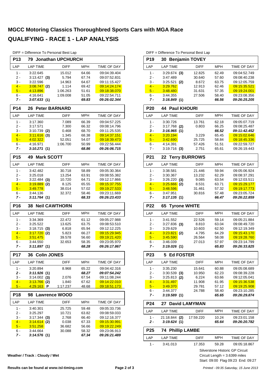|                 | DIFF = Difference To Personal Best Lap |                      |                |                                     |
|-----------------|----------------------------------------|----------------------|----------------|-------------------------------------|
| P <sub>13</sub> | 79 Jonathan UPCHURCH                   |                      |                |                                     |
| LAP             | <b>LAP TIME</b>                        | DIFF                 | <b>MPH</b>     | TIME OF DAY                         |
| $1 -$           | 3:22.645                               | 15.012               | 64.66          | 09:04:39.404                        |
| 2 -             | $3:13.427$ (3)                         | 5.794                | 67.74          | 09:07:52.831                        |
| 3 -             | 3:22.596                               | 14.963               | 64.67          | 09:11:15.427                        |
| $4 -$           | 3.08.747(2)                            | 1.114                | 69.42          | 09:14:24.174                        |
| $5 -$           | 4:13.896                               | 1:06.263             | 51.61          | 09:18:38.070                        |
| 6 -             | 4:16.641                               | 1:09.008             | 51.05          | 09:22:54.711                        |
| 7 -             | 3:07.633(1)                            |                      | 69.83          | 09:26:02.344                        |
| P <sub>14</sub> | <b>Peter BARNARD</b><br>26             |                      |                |                                     |
| LAP             | <b>LAP TIME</b>                        | <b>DIFF</b>          | <b>MPH</b>     | TIME OF DAY                         |
| $1 -$           | 3:17.360                               | 7.089                | 66.39          | 09:04:57.225                        |
| $2 -$           | 3:17.571                               | 7.300                | 66.32          | 09:08:14.796                        |
| $3 -$           | 3:10.739<br>(2)                        | 0.468                | 68.70          | 09:11:25.535                        |
| $4 -$           | 3:11.616<br>(3)                        | 1.345                | 68.38          | 09:14:37.151                        |
| $5 -$           | 4:02.322                               | 52.051               | 54.07          | 09:18:39.473                        |
| $6 -$<br>7 -    | 4:16.971<br>3:10.271(1)                | 1:06.700             | 50.99<br>68.86 | 09:22:56.444<br>09:26:06.715        |
| P <sub>15</sub> | <b>Mark SCOTT</b><br>49                |                      |                |                                     |
| LAP             | <b>LAP TIME</b>                        | DIFF                 | <b>MPH</b>     | TIME OF DAY                         |
| $1 -$           | 3:42.482                               | 30.718               | 58.89          | 09:05:30.364                        |
| $2 -$           | 3:25.018                               | 13.254               | 63.91          | 09:08:55.382                        |
| 3 -             | 3:22.484<br>(3)                        | 10.720               | 64.71          | 09:12:17.866                        |
| $4 -$           | 3:19.889<br>(2)                        | 8.125                | 65.55          | 09:15:37.755                        |
| $5 -$           | 3:49.778                               | 38.014               | 57.02          | 09:19:27.533                        |
| $6 -$           | 3:44.136                               | 32.372               | 58.46          | 09:23:11.669                        |
| 7 -             | 3:11.764(1)                            |                      | 68.33          | 09:26:23.433                        |
| P <sub>16</sub> | <b>38 Neil CAWTHORN</b>                |                      |                |                                     |
| LAP             | <b>LAP TIME</b>                        | DIFF                 | <b>MPH</b>     | TIME OF DAY                         |
| $1 -$           | 3:34.369                               | 22.472               | 61.12          | 09:05:27.988                        |
| 2 -             | 3:25.522                               | 13.625               | 63.75          | 09:08:53.510                        |
| 3 -             | 3:18.715<br>(3)                        |                      |                |                                     |
| $4 -$           |                                        | 6.818                | 65.94          | 09:12:12.225                        |
|                 | 3:17.720<br>(2)                        | 5.823                | 66.27          | 09:15:29.945                        |
| $5 -$           | 3:51.475                               | 39.578               | 56.60          | 09:19:21.420                        |
| 6 -             | 3:44.550                               | 32.653               | 58.35          | 09:23:05.970                        |
| 7 -             | 3:11.897(1)                            |                      | 68.28          | 09:26:17.867                        |
| P17             | 36 Colin JONES                         |                      |                |                                     |
| LAP             | <b>LAP TIME</b>                        | <b>DIFF</b>          | <b>MPH</b>     | TIME OF DAY                         |
| $1 -$           | 3:20.894                               | 8.968                | 65.22          | 09:04:42.316                        |
| 2 -             | 3:11.926(1)                            |                      | 68.27          | 09:07:54.242                        |
| 3 -             | 3:14.002<br>(3)                        | 2.076                | 67.54          | 09:11:08.244                        |
| $4 -$           | 3:13.766<br>(2)<br>P                   | 1.840                | 67.62          | 09:14:22.010                        |
| $5 -$           | 4:29.163                               | 1:17.237             | 48.68          | 09:18:51.173                        |
| <b>P18</b>      | 98                                     | <b>Lawrence WOOD</b> |                |                                     |
| LAP             | <b>LAP TIME</b>                        | <b>DIFF</b>          | <b>MPH</b>     | TIME OF DAY                         |
| $1 -$           | 3:40.301                               | 25.725               | 59.48          | 09:05:33.736                        |
| 2 -             | 3:25.297                               | 10.721               | 63.82          | 09:08:59.033                        |
| 3 -             | $3:17.344$ (3)                         | 2.768                | 66.40          | 09:12:16.377                        |
| $4 -$           | 3:14.614<br>(2)                        | 0.038                | 67.33          | 09:15:30.991                        |
| $5 -$<br>6 -    | 3:51.258<br>3:44.664                   | 36.682<br>30.088     | 56.66<br>58.32 | <u>09:19:22.249</u><br>09:23:06.913 |

DIFF = Difference To Personal Best Lap

| P <sub>19</sub> | 30 Benjamin TOVEY            |                      |                |                                            |
|-----------------|------------------------------|----------------------|----------------|--------------------------------------------|
| LAP             | <b>LAP TIME</b>              | <b>DIFF</b>          | <b>MPH</b>     | TIME OF DAY                                |
| 1 -             | 3:29.674(3)                  | 12.825               | 62.49          | 09:04:52.749                               |
| 2 -             | 3:47.489                     | 30.640               | 57.60          | 09:08:40.238                               |
| 3 -             | 3:25.521<br>(2)              | 8.672                | 63.75          | 09:12:05.759                               |
| $4 -$           | 3:29.762                     | 12.913               | 62.46          | 09:15:35.521                               |
| $5 -$           | 3:48.480                     | 31.631               | 57.35          | 09:19:24.001                               |
| 6 -             | 3:44.355                     | 27.506               | 58.40          | 09:23:08.356                               |
| 7 -             | 3:16.849(1)                  |                      | 66.56          | 09:26:25.205                               |
| <b>P20</b>      | <b>44 Paul KHOURI</b>        |                      |                |                                            |
| LAP             | <b>LAP TIME</b>              | <b>DIFF</b>          | <b>MPH</b>     | <b>TIME OF DAY</b>                         |
| 1 -             | 3:30.726                     | 13.761               | 62.18          | 09:05:07.719                               |
| 2 -             | $3:17.768$ (2)               | 0.803                | 66.25          | 09:08:25.487                               |
| 3 -             | 3:16.965(1)                  |                      | 66.52          | 09:11:42.452                               |
| $4 -$           | 3:20.194                     | 3.229                | 65.45          | 09:15:02.646                               |
| $5 -$           | 3:42.690                     | 25.725               | 58.84          | 09:18:45.336                               |
| 6 -             | 4:14.391                     | 57.426               | 51.51          | 09:22:59.727                               |
| 7 -             | $3:19.716$ (3)               | 2.751                | 65.61          | 09:26:19.443                               |
| P21             | 22                           | <b>Terry BURROWS</b> |                |                                            |
| LAP             | <b>LAP TIME</b>              | <b>DIFF</b>          | <b>MPH</b>     | TIME OF DAY                                |
| 1 -             | 3:38.581                     | 21.446               | 59.94          | 09:05:06.924                               |
| $2 -$           | 3:30.367                     | 13.232               | 62.29          | 09:08:37.291                               |
| $3 -$           | 3:26.220<br>(3)              | 9.085                | 63.54          | 09:12:03.511                               |
| $4 -$<br>$5 -$  | $3:25.666$ (2)<br>3:48.596   | 8.531<br>31.461      | 63.71<br>57.32 | 09:15:29.177<br>09:19:17.773               |
| 6 -             | 3:47.951                     | 30.816               | 57.48          | 09:23:05.724                               |
| 7 -             | 3:17.135(1)                  |                      | 66.47          | <i><b>09:26:22.859</b></i>                 |
|                 |                              |                      |                |                                            |
|                 |                              |                      |                |                                            |
| <b>P22</b>      | <b>Tyrone WHITE</b><br>65    |                      |                |                                            |
| LAP             | <b>LAP TIME</b>              | <b>DIFF</b>          | <b>MPH</b>     | TIME OF DAY                                |
| $1 -$           | 3:41.552                     | 22.526               | 59.14          | 09:05:21.884                               |
| $2 -$           | $3:27.836$ (3)               | 8.810                | 63.04          | 09:08:49.720                               |
| 3 -             | 3:29.629                     | 10.603               | 62.50          | 09:12:19.349                               |
| $4 -$           | $3:23.821$ (2)               | 4.795                | 64.29          | 09:15:43.170                               |
| $5 -$           | 3:45.590                     | 26.564               | 58.08          | 09:19:28.760                               |
| 6 -             | 3:46.039                     | 27.013               | 57.97          | 09:23:14.799                               |
| 7 -             | 3:19.026(1)                  |                      | 65.83          | 09:26:33.825                               |
| P23             | 5 Ed FOSTER                  |                      |                |                                            |
| LAP             | LAP TIME                     | <b>DIFF</b>          | MPH            | TIME OF DAY                                |
| $1 -$           | 3:35.230                     | 15.641               | 60.88          | 09:05:08.689                               |
| 2 -             | $3:30.539$ (3)               | 10.950               | 62.23          | 09:08:39.228                               |
| 3 -             | $3:25.813$ (2)               | 6.224                | 63.66          | 09:12:05.041                               |
| $4 -$           | <u>3:31.497</u>              | 11.908               | 61.95          | 09:15:36.538                               |
| $5 -$           | <u>3:49.370</u>              | 29.781               | 57.12          | 09:19:25.908                               |
| 6 -             | 3:44.377                     | 24.788               | 58.40          | 09:23:10.285                               |
| 7 -             | 3:19.589(1)                  |                      | 65.65          | <i><b>09:26:29.874</b></i>                 |
| P24             | 27 David LAMYMAN             |                      |                |                                            |
| LAP             | <b>LAP TIME</b>              | <b>DIFF</b>          | MPH            | TIME OF DAY                                |
| 1 -<br>2 -      | 21:18.844 (2)<br>3:19.624(1) | 17:59.220            | 10.24<br>65.64 | 09:23:01.158<br><i><b>09:26:20.782</b></i> |
| P <sub>25</sub> | <b>74 Phillip LAMBE</b>      |                      |                |                                            |
| LAP             | <b>LAP TIME</b>              | DIFF                 | MPH            | TIME OF DAY                                |
| 1 -             | 3:41.013                     | 17.353               | 59.28          | 09:05:18.867                               |

**Weather / Track : Cloudy / Wet**

Start: 09:00 Flag 09:23 End: 09:27 Circuit Length = 3.6399 miles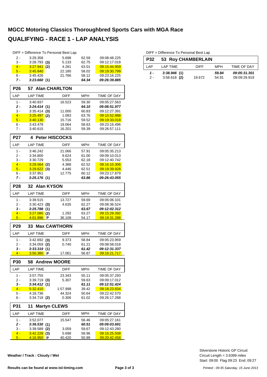|                 |                      | DIFF = Difference To Personal Best Lap |              |                       |
|-----------------|----------------------|----------------------------------------|--------------|-----------------------|
| 2 -             | 3:29.358             | 5.698                                  | 62.59        | 09:08:48.225          |
| 3 -             | $3:28.793$ (3)       | 5.133                                  | 62.75        | 09:12:17.018          |
| $4 -$           | 3:27.941<br>(2)      | 4.281                                  | 63.01        | 09:15:44.959          |
| $5 -$           | 3:45.840             | 22.180                                 | 58.02        | 09:19:30.799          |
| 6 -             | 3:45.426             | 21.766                                 | 58.12        | 09:23:16.225          |
| 7 -             | 3:23.660(1)          |                                        | 64.34        | 09:26:39.885          |
| <b>P26</b>      |                      | 57 Alan CHARLTON                       |              |                       |
| LAP             | <b>LAP TIME</b>      | <b>DIFF</b>                            | <b>MPH</b>   | <b>TIME OF DAY</b>    |
| $1 -$           | 3:40.937             | 16.523                                 | 59.30        | 09:05:27.563          |
| 2 -             | 3:24.414<br>(1)      |                                        | 64.10        | 09:08:51.977          |
| 3 -             | $3:35.414$ (3)       | 11.000                                 | 60.83        | 09:12:27.391          |
| $4 -$           | 3:25.497<br>(2)      | 1.083                                  | 63.76        | 09:15:52.888          |
| $5 -$           | 3:40.130             | 15.716                                 | 59.52        | 09:19:33.018          |
| 6 -             | 3:43.478             | 19.064                                 | 58.63        | 09:23:16.496          |
| $7 -$           | 3:40.615             | 16.201                                 | 59.39        | 09:26:57.111          |
| <b>P27</b>      | 4                    | <b>Peter HISCOCKS</b>                  |              |                       |
| LAP             | <b>LAP TIME</b>      | <b>DIFF</b>                            | <b>MPH</b>   | <b>TIME OF DAY</b>    |
| $1 -$           | 3:46.242             | 21.066                                 | 57.91        | 09:05:35.213          |
| 2 -             | 3:34.800             | 9.624                                  | 61.00        | 09:09:10.013          |
| 3 -             | 3:30.729             | 5.553                                  | 62.18        | 09:12:40.742          |
| $4 -$           | $3:29.564$ (2)       | 4.388                                  | 62.52        | 09:16:10.306          |
| $5 -$           | $3:29.622$ (3)       | 4.446                                  | 62.51        | 09:19:39.928          |
| 6 -             | 3:37.951             | 12.775                                 | 60.12        | 09:23:17.879          |
| 7 -             | 3:25.176(1)          |                                        | 63.86        | 09:26:43.055          |
| P28             | 32 Alan KYSON        |                                        |              |                       |
| LAP             | <b>LAP TIME</b>      | <b>DIFF</b>                            | <b>MPH</b>   | TIME OF DAY           |
| $1 -$           |                      |                                        |              |                       |
|                 | 3:39.515             | 13.727                                 | 59.69        | 09:05:06.101          |
| 2 -             | $3:30.423$ (3)       | 4.635                                  | 62.27        | 09:08:36.524          |
| 3 -             | 3:25.788(1)          |                                        | 63.67        | 09:12:02.312          |
| $4 -$           | $3:27.080$ (2)       | 1.292                                  | 63.27        | 09:15:29.392          |
| $5 -$           | 4:01.896<br>Р        | 36.108                                 | 54.17        | 09:19:31.288          |
| P <sub>29</sub> | 33                   | <b>Max CAWTHORN</b>                    |              |                       |
| LAP             | <b>LAP TIME</b>      | <b>DIFF</b>                            | MPH          | TIME OF DAY           |
| $1 -$           | 3:42.692 ( <b>3)</b> | 9.373                                  | 58.84        | 09:05:23.959          |
| $2 -$           | 3:34.059 (2)         | 0.740                                  | 61.21        | 09:08:58.018          |
| 3 -             | 3:33.319(1)          |                                        | 61.42        | 09:12:31.337          |
| <u>4 - </u>     | 3:50.380 P           | <u>17.061</u>                          | <u>56.87</u> | <u>09:16:21.717  </u> |
| P30             | 58                   | <b>Andrew MOORE</b>                    |              |                       |
| LAP             | <b>LAP TIME</b>      | DIFF                                   | MPH          | TIME OF DAY           |
| $1 -$           | 3:57.755             | 23.343                                 | 55.11        | 09:05:37.293          |
| 2 -             | $3:39.719$ (3)       | 5.307                                  | 59.63        | 09:09:17.012          |
| 3 -             | 3:34.412(1)          |                                        | 61.11        | 09:12:51.424          |
| $4 -$           | 5:32.410             | 1:57.998                               | 39.42        | 09:18:23.834          |
| 5 -             | 4:18.736             | 44.324                                 | 50.64        | 09:22:42.570          |
| 6 -             | $3:34.718$ (2)       | 0.306                                  | 61.02        | 09:26:17.288          |
| P31             | 11                   | <b>Martyn CLEWS</b>                    |              |                       |
| LAP             | <b>LAP TIME</b>      | DIFF                                   | MPH          | TIME OF DAY           |
| $1 -$           | 3:52.077             | 15.547                                 | 56.46        | 09:05:27.161          |
| 2 -             | 3:36.530(1)          |                                        | 60.51        | 09:09:03.691          |
| 3 -             | $3:39.589$ (2)       | 3.059                                  | 59.67        | 09:12:43.280          |
| $4 -$           | $3.42.228$ (3)       | 5.698                                  | 58.96        | 09:16:25.508          |
| $5 -$           | <u>4:16.950</u><br>P | 40.420                                 | 50.99        | 09:20:42.458          |

**Weather / Track : Cloudy / Wet**

DIFF = Difference To Personal Best Lap

| <b>P32</b> | <b>53 Roy CHAMBERLAIN</b> |             |       |                    |  |  |  |  |  |  |
|------------|---------------------------|-------------|-------|--------------------|--|--|--|--|--|--|
| I AP       | I AP TIMF                 | <b>DIFF</b> | MPH   | <b>TIME OF DAY</b> |  |  |  |  |  |  |
| 1 -        | 3:38.946(1)               |             | 59.84 | 09:05:31.301       |  |  |  |  |  |  |
| $2 -$      | $3:58.618$ (2)            | 19.672      | 54.91 | 09:09:29.919       |  |  |  |  |  |  |

Start: 09:00 Flag 09:23 End: 09:27 Circuit Length = 3.6399 miles Silverstone Historic GP Circuit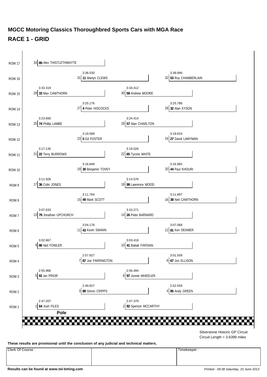

**These results are provisional until the conclusion of any judicial and technical matters.**

Clerk Of Course : Timekeeper : Timekeeper :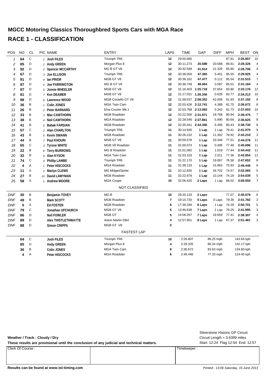# **MGCC Motoring Classics Thoroughbred Sports Cars with MGA Race RACE 1 - CLASSIFICATION**

| POS            | <b>NO</b> | <b>CL</b>   | PIC NAME                   | LAPS                  | TIME                    | GAP                | <b>DIFF</b> | <b>MPH</b> | BEST  | ON         |                |
|----------------|-----------|-------------|----------------------------|-----------------------|-------------------------|--------------------|-------------|------------|-------|------------|----------------|
| 1              | 64        | C           | 1 Josh FILES               | Triumph TR6           | 12                      | 29:50.685          |             |            | 87.81 | 2:26.807   | 10             |
| $\overline{c}$ | 85        | D           | 1 Andy GREEN               | Morgan Plus 8         | 12                      | 30:11.273          | 20.588      | 20.588     | 86.81 | 2:28.326   | 4              |
| 3              | 92        | D           | 2 Spencer MCCARTHY         | MG B GT V8            | 12                      | 30:32.599          | 41.914      | 21.326     | 85.80 | 2:28.706   | 4              |
| 4              | 67        | D           | 3 Jon ELLISON              | Triumph TR6           | 12                      | 30:38.050          | 47.365      | 5.451      | 85.55 | 2:29.925   | 4              |
| 5              | 91        | D           | 4 Ian PRIOR                | MGB GT V8             | 12                      | 30:38.162          | 47.477      | 0.112      | 85.54 | 2:31.515   | $\overline{7}$ |
| 6              | 87        | D           | 5 Joe PARRINGTON           | MG B GT V8            | 12                      | 30:38.749          | 48.064      | 0.587      | 85.51 | 2:31.184   | $\overline{4}$ |
| 7              | 97        | D           | 6 Jonnie WHEELER           | MGB GT V8             | 12                      | 31:16.403 1:25.718 |             | 37.654     | 83.80 | 2:33.176   | 12             |
| 8              | 81        | D           | 7 Ken DEAMER               | MGB GT V8             | 12                      | 31:17.031 1:26.346 |             | 0.628      | 83.77 | 2:34.213   | 10             |
| 9              | 98        | D           | 8 Lawrence WOOD            | MGB Costello GT V8    | 12                      | 31:59.037 2:08.352 |             | 42.006     | 81.93 | 2:37.192   | 8              |
| 10             | 36        | B           | 1 Colin JONES              | <b>MGA Twin Cam</b>   | 12                      | 32:03.426 2:12.741 |             | 4.389      | 81.75 | 2:36.672   | 8              |
| 11             | 26        | Β           | 2 Peter BARNARD            | Elva Courier Mk.1     | 12                      | 32:03.768 2:13.083 |             | 0.342      | 81.73 | 2:37.603   | 10             |
| 12             | 33        | Β           | 3 Max CAWTHORN             | <b>MGB Roadster</b>   | 12                      | 32:22.556 2:31.871 |             | 18.788     | 80.94 | 2:39.475   | $\overline{7}$ |
| 13             | 38        | B           | 4 Neil CAWTHORN            | <b>MGA Roadster</b>   | 12                      | 32:28.546 2:37.861 |             | 5.990      | 80.69 | 2:36.825   | 8              |
| 14             | 41        | B           | 5 Babak FARSIAN            | <b>MGB Roadster</b>   | 12                      | 32:35.041 2:44.356 |             | 6.495      | 80.43 | 2:38.730   | 8              |
| 15             | 57        | $\mathbb C$ | 2 Alan CHARLTON            | Triumph TR6           | 11                      | 30:14.930          | 1 Lap       | 1 Lap      | 79.41 | 2:41.070   | 9              |
| 16             | 43        | B           | 6 Kevin SWANN              | <b>MGB Roadster</b>   | 11                      | 30:26.232          | 1 Lap       | 11.302     | 78.92 | 2:43.210   | 3              |
| 17             | 44        | B           | 7 Paul KHOURI              | MGB GT V8             | 11                      | 30:59.578          | 1 Lap       | 33.346     | 77.51 | 2:44.276   | 11             |
| 18             | 65        | $\mathbb C$ | 3 Tyrone WHITE             | MGB V8 Roadster       | 11                      | 31:00.073          | 1 Lap       | 0.495      | 77.49 | 2:45.696   | 11             |
| 19             | 22        | B           | 8 Terry BURROWS            | <b>MG B Roadster</b>  | 11                      | 31:01.092          | 1 Lap       | 1.019      | 77.44 | 2:44.442   | 11             |
| 20             | 32        | B           | 9 Alan KYSON               | <b>MGA Twin Cam</b>   | 11                      | 31:03.103          | 1 Lap       | 2.011      | 77.36 | 2:43.854   | 11             |
| 21             | 74        | С           | 4 Phillip LAMBE            | Triumph TR6           | 11                      | 31:22.170          | 1 Lap       | 19.067     | 76.58 | 2:47.652   | 8              |
| 22             | 4         | Α           | 1 Peter HISCOCKS           | <b>MGA Roadster</b>   | 11                      | 31:38.133          | 1 Lap       | 15.963     | 75.93 | 2:49.446   | 6              |
| 23             | 11        | Α           | 2 Martyn CLEWS             | MG Midget/Sprite      | 11                      | 32:12.835          | 1 Lap       | 34.702     | 74.57 | 2:52.065   | 5              |
| 24             | 27        | B           | 10 David LAMYMAN           | <b>MGB Roadster</b>   | 11                      | 32:22.979          | 1 Lap       | 10.144     | 74.18 | 2:54.039   | 5              |
| 25             | 58        | Α           | 1 Andrew MOORE             | <b>MGA Coupe</b>      | 10                      | 32:06.420          | 2 Laps      | 1 Lap      | 68.02 | 3:09.550   | $\overline{7}$ |
|                |           |             |                            | <b>NOT CLASSIFIED</b> |                         |                    |             |            |       |            |                |
| <b>DNF</b>     | 30        | B           | Benjamin TOVEY             | MG <sub>B</sub>       | 10                      | 28:20.133          | 2 Laps      |            | 77.07 | 2:45.678   | 6              |
| <b>DNF</b>     | 49        | B           | Mark SCOTT                 | <b>MGB Roadster</b>   | $\overline{\mathbf{r}}$ | 19:15.730          | 5 Laps      | 3 Laps     | 79.36 | 2:41.782   | 3              |
| <b>DNF</b>     | 5         | Α           | <b>Ed FOSTER</b>           | <b>MGB Roadster</b>   | 6                       | 17:38.294          | 6 Laps      | 1 Lap      | 74.29 | 2:50.701   | 5              |
| <b>DNF</b>     | 79        | С           | Jonathan UPCHURCH          | MGB GT V8             | 5                       | 13:46.638          | 7 Laps      | 1 Lap      | 79.25 | 2:41.995   | 3              |
| <b>DNF</b>     | 86        | D           | <b>Neil FOWLER</b>         | <b>MGB GT</b>         | 5                       | 14:06.297          | 7 Laps      | 19.659     | 77.41 | 2:38.307   | 4              |
| <b>DNF</b>     | 89        | D           | <b>Alex THISTLETHWAYTE</b> | Aston Martin DB4      | 4                       | 12:57.951          | 8 Laps      | 1 Lap      | 67.37 | 2:51.481   | 3              |
| <b>DNF</b>     | 88        | D           | <b>Simon CRIPPS</b>        | MGB GT V8             | 0                       |                    |             |            |       |            |                |
|                |           |             |                            | <b>FASTEST LAP</b>    |                         |                    |             |            |       |            |                |
|                |           |             |                            |                       |                         |                    |             |            |       |            |                |
|                | 64        | $\mathbb C$ | <b>Josh FILES</b>          | Triumph TR6           | 10                      | 2:26.807           |             | 89.25 mph  |       | 143.64 kph |                |
|                | 85        | D           | Andy GREEN                 | Morgan Plus 8         | 4                       | 2:28.326           |             | 88.34 mph  |       | 142.17 kph |                |
|                | 36        | B           | <b>Colin JONES</b>         | <b>MGA Twin Cam</b>   | 8                       | 2:36.672           |             | 83.63 mph  |       | 134.60 kph |                |
|                | 4         | Α           | Peter HISCOCKS             | <b>MGA Roadster</b>   | 6                       | 2:49.446           |             | 77.33 mph  |       | 124.45 kph |                |

**Weather / Track : Cloudy / Dry**

These results are provisional until the conclusion of any judicial and technical matters. Start: 12:24 Flag 12:54 End: 12:57

Clerk Of Course : Timekeeper :

Circuit Length = 3.6399 miles Silverstone Historic GP Circuit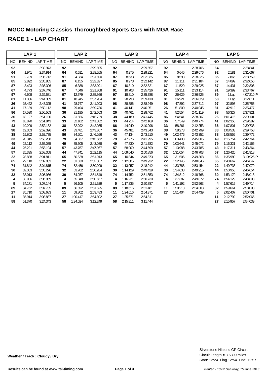|     | LAP <sub>1</sub> |                 |           | LAP <sub>2</sub> |                 | LAP <sub>3</sub> |               |                 |           | LAP <sub>4</sub> |                 |           | LAP <sub>5</sub> |                 |
|-----|------------------|-----------------|-----------|------------------|-----------------|------------------|---------------|-----------------|-----------|------------------|-----------------|-----------|------------------|-----------------|
| NO. | <b>BEHIND</b>    | <b>LAP TIME</b> | <b>NO</b> | <b>BEHIND</b>    | <b>LAP TIME</b> | <b>NO</b>        | <b>BEHIND</b> | <b>LAP TIME</b> | <b>NO</b> | <b>BEHIND</b>    | <b>LAP TIME</b> | <b>NO</b> | <b>BEHIND</b>    | <b>LAP TIME</b> |
| 92  |                  | 2:32.973        | 92        |                  | 2:29.595        | 92               |               | 2:29.557        | 92        |                  | 2:28.706        | 64        |                  | 2:28.841        |
| 64  | 1.941            | 2:34.914        | 64        | 0.611            | 2:28.265        | 64               | 0.275         | 2:29.221        | 64        | 0.645            | 2:29.076        | 92        | 2.181            | 2:31.667        |
| 91  | 2.739            | 2:35.712        | 91        | 4.834            | 2:31.690        | 87               | 8.633         | 2:32.035        | 85        | 8.593            | 2:28.326        | 85        | 7.866            | 2:28.759        |
| 85  | 2.892            | 2:35.865        | 87        | 6.155            | 2:32.327        | 85               | 8.973         | 2:32.142        | 87        | 11.111           | 2:31.184        | 67        | 14.099           | 2:32.056        |
| 87  | 3.423            | 2:36.396        | 85        | 6.388            | 2:33.091        | 67               | 10.310        | 2:32.821        | 67        | 11.529           | 2:29.925        | 87        | 14.431           | 2:32.806        |
| 67  | 4.773            | 2:37.746        | 67        | 7.046            | 2:31.868        | 91               | 10.703        | 2:35.426        | 91        | 15.111           | 2:33.114        | 91        | 19.392           | 2:33.767        |
| 97  | 6.608            | 2:39.581        | 97        | 12.579           | 2:35.566        | 97               | 18.810        | 2:35.788        | 97        | 26.629           | 2:36.525        | 89        | 1 Lap            | 4:07.210 P      |
| 81  | 11.336           | 2:44.309        | 81        | 18.945           | 2:37.204        | 81               | 28.798        | 2:39.410        | 81        | 36.921           | 2:36.829        | 58        | 1 Lap            | 3:12.811        |
| 26  | 15.422           | 2:48.395        | 41        | 28.747           | 2:41.203        | 98               | 38.886        | 2:38.949        | 98        | 47.892           | 2:37.712        | 97        | 32.898           | 2:35.755        |
| 41  | 17.139           | 2:50.112        | 98        | 29.494           | 2:39.736        | 41               | 40.141        | 2:40.951        | 26        | 51.800           | 2:40.045        | 81        | 42.912           | 2:35.477        |
| 86  | 17.530           | 2:50.503        | 36        | 31.195           | 2:42.663        | 26               | 40.461        | 2:38.462        | 41        | 52.554           | 2:41.119        | 98        | 56.327           | 2:37.921        |
| 36  | 18.127           | 2:51.100        | 26        | 31.556           | 2:45.729        | 38               | 44.180        | 2:41.445        | 86        | 54.541           | 2:38.307        | 26        | 1:01.415         | 2:39.101        |
| 79  | 18.870           | 2:51.843        | 33        | 32.102           | 2:41.382        | 33               | 44.714        | 2:42.169        | 36        | 57.549           | 2:40.774        | 41        | 1:02.350         | 2:39.282        |
| 43  | 19.209           | 2:52.182        | 38        | 32.292           | 2:42.085        | 86               | 44.940        | 2:40.296        | 33        | 58.261           | 2:42.253        | 36        | 1:07.801         | 2:39.738        |
| 98  | 19.353           | 2:52.326        | 43        | 33.481           | 2:43.867        | 36               | 45.481        | 2:43.843        | 38        | 58.273           | 2:42.799        | 33        | 1:08.533         | 2:39.758        |
| 38  | 19.802           | 2:52.775        | 86        | 34.201           | 2:46.266        | 43               | 47.134        | 2:43.210        | 49        | 1:02.476         | 2:43.352        | 38        | 1:08.559         | 2:39.772        |
| 33  | 20.315           | 2:53.288        | 79        | 34.837           | 2:45.562        | 79               | 47.275        | 2:41.995        | 43        | 1:03.433         | 2:45.005        | 49        | 1:15.754         | 2:42.764        |
| 49  | 22.112           | 2:55.085        | 49        | 35.605           | 2:43.088        | 49               | 47.830        | 2:41.782        | 79        | 1:03.641         | 2:45.072        | 79        | 1:16.321         | 2:42.166        |
| 44  | 25.221           | 2:58.194        | 57        | 43.767           | 2:47.967        | 57               | 58.909        | 2:44.699        | 57        | 1:13.988         | 2:43.785        | 43        | 1:17.311         | 2:43.364        |
| 57  | 25.395           | 2:58.368        | 44        | 47.741           | 2:52.115        | 44               | 1:09.040      | 2:50.856        | 32        | 1:31.054         | 2:46.703        | 57        | 1:26.420         | 2:41.918        |
| 22  | 28.838           | 3:01.811        | 65        | 50.528           | 2:51.013        | 65               | 1:10.844      | 2:49.873        | 65        | 1:31.506         | 2:49.368        | 86        | 1:35.980         | $3:10.925$ P    |
| 65  | 29.110           | 3:02.083        | 22        | 51.630           | 2:52.387        | 22               | 1:12.005      | 2:49.932        | 22        | 1:32.145         | 2:48.846        | 65        | 1:48.667         | 2:46.647        |
| 74  | 31.842           | 3:04.815        | 74        | 52.456           | 2:50.209        | 32               | 1:13.057      | 2:48.912        | 44        | 1:33.788         | 2:53.454        | 22        | 1:49.738         | 2:47.079        |
| 30  | 32.303           | 3:05.276        | 32        | 53.702           | 2:50.284        | 30               | 1:14.129      | 2:49.429        | 30        | 1:34.638         | 2:49.215        | 44        | 1:50.956         | 2:46.654        |
| 32  | 33.013           | 3:05.986        | 30        | 54.257           | 2:51.549        | 74               | 1:14.752      | 2:51.853        | 74        | 1:34.812         | 2:48.766        | 30        | 1:53.170         | 2:48.018        |
| 4   | 33.986           | 3:06.959        | 4         | 55.048           | 2:50.657        | 4                | 1:16.221      | 2:50.730        | 4         | 1:37.387         | 2:49.872        | 74        | 1:54.129         | 2:48.803        |
| 5   | 34.171           | 3:07.144        | 5         | 56.105           | 2:51.529        | 5                | 1:17.335      | 2:50.787        | 5         | 1:41.192         | 2:52.563        | 4         | 1:57.615         | 2:49.714        |
| 89  | 34.762           | 3:07.735        | 89        | 56.692           | 2:51.525        | 89               | 1:18.616      | 2:51.481        | 11        | 1:50.213         | 2:54.303        | 32        | 1:59.661         | 2:58.093        |
| 27  | 35.710           | 3:08.683        | 11        | 59.802           | 2:53.483        | 11               | 1:24.616      | 2:54.371        | 27        | 1:51.404         | 2:54.439        | 5         | 2:02.407         | 2:50.701        |
| 11  | 35.914           | 3:08.887        | 27        | 1:00.417         | 2:54.302        | 27               | 1:25.671      | 2:54.811        |           |                  |                 | 11        | 2:12.792         | 2:52.065        |
| 58  | 51.370           | 3:24.343        | 58        | 1:34.024         | 3:12.249        | 58               | 2:15.911      | 3:11.444        |           |                  |                 | 27        | 2:15.957         | 2:54.039        |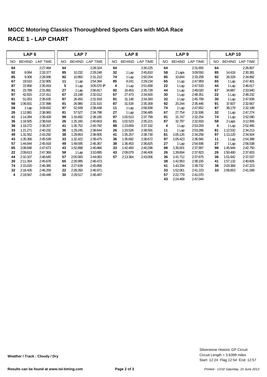|     | LAP <sub>6</sub> |                 |           | LAP <sub>7</sub> |                     |           | LAP <sub>8</sub> |                 |           | LAP <sub>9</sub> |                 |    | <b>LAP 10</b> |                 |
|-----|------------------|-----------------|-----------|------------------|---------------------|-----------|------------------|-----------------|-----------|------------------|-----------------|----|---------------|-----------------|
| NO. | <b>BEHIND</b>    | <b>LAP TIME</b> | <b>NO</b> | <b>BEHIND</b>    | <b>LAP TIME</b>     | <b>NO</b> | <b>BEHIND</b>    | <b>LAP TIME</b> | <b>NO</b> | <b>BEHIND</b>    | <b>LAP TIME</b> | NO | <b>BEHIND</b> | <b>LAP TIME</b> |
| 64  |                  | 2:27.494        | 64        |                  | 2:28.324            | 64        |                  | 2:30.225        | 64        |                  | 2:31.655        | 64 |               | 2:26.807        |
| 92  | 8.064            | 2:33.377        | 85        | 10.232           | 2:29.248            | 32        | 1 Lap            | 2:45.810        | 58        | 2 Laps           | 3:09.550        | 85 | 14.418        | 2:30.381        |
| 85  | 9.308            | 2:28.936        | 92        | 10.950           | 2:31.210            | 74        | 1 Lap            | 2:50.204        | 85        | 10.844           | 2:33.258        | 92 | 28.329        | 2:34.892        |
| 67  | 19.510           | 2:32.905        | 11        | 1 Lap            | 2:54.394            | 85        | 9.241            | 2:29.234        | 65        | 1 Lap            | 2:47.959        | 65 | 1 Lap         | 2:47.401        |
| 87  | 22.856           | 2:35.919        | 5         | 1 Lap            | $3:05.570$ <b>P</b> | 4         | 1 Lap            | 2:51.658        | 22        | 1 Lap            | 2:47.533        | 44 | 1 Lap         | 2:46.617        |
| 91  | 23.789           | 2:31.891        | 27        | 1 Lap            | 2:56.817            | 92        | 16.453           | 2:35.728        | 44        | 1 Lap            | 2:49.020        | 67 | 34.887        | 2:33.940        |
| 97  | 42.815           | 2:37.411        | 67        | 23.198           | 2:32.012            | 67        | 27.473           | 2:34.500        | 30        | 1 Lap            | 2:48.351        | 22 | 1 Lap         | 2:48.232        |
| 81  | 51.053           | 2:35.635        | 87        | 26.450           | 2:31.918            | 91        | 31.148           | 2:34.393        | 32        | 1 Lap            | 2:45.799        | 30 | 1 Lap         | 2:47.838        |
| 98  | 1:06.831         | 2:37.998        | 91        | 26.980           | 2:31.515            | 87        | 31.534           | 2:35.309        | 92        | 20.244           | 2:35.446        | 91 | 37.607        | 2:32.667        |
| 58  | 1 Lap            | 3:09.832        | 97        | 52.939           | 2:38.448            | 11        | 1 Lap            | 2:58.938        | 74        | 1 Lap            | 2:47.652        | 87 | 38.179        | 2:32.189        |
| 26  | 1:12.881         | 2:38.960        | 81        | 57.527           | 2:34.798            | 27        | 1 Lap            | 2:56.485        | 67        | 27.754           | 2:31.936        | 32 | 1 Lap         | 2:47.274        |
| 41  | 1:14.284         | 2:39.428        | 98        | 1:16.692         | 2:38.185            | 97        | 1:00.513         | 2:37.799        | 91        | 31.747           | 2:32.254        | 74 | 1 Lap         | 2:52.090        |
| 36  | 1:18.925         | 2:38.618        | 26        | 1:25.160         | 2:40.603            | 81        | 1:02.523         | 2:35.221        | 87        | 32.797           | 2:32.918        | 58 | 2 Laps        | 3:12.906        |
| 38  | 1:19.272         | 2:38.207        | 41        | 1:26.752         | 2:40.792            | 98        | 1:23.659         | 2:37.192        | 4         | 1 Lap            | 2:53.293        | 4  | 1 Lap         | 2:52.465        |
| 33  | 1:21.271         | 2:40.232        | 36        | 1:29.245         | 2:38.644            | 26        | 1:33.526         | 2:38.591        | 11        | 1 Lap            | 2:53.286        | 81 | 1:12.532      | 2:34.213        |
| 49  | 1:31.552         | 2:43.292        | 38        | 1:29.853         | 2:38.905            | 41        | 1:35.257         | 2:38.730        | 81        | 1:05.126         | 2:34.258        | 97 | 1:13.120      | 2:34.504        |
| 43  | 1:35.356         | 2:45.539        | 33        | 1:32.422         | 2:39.475            | 36        | 1:35.692         | 2:36.672        | 97        | 1:05.423         | 2:36.565        | 11 | 1 Lap         | 2:54.388        |
| 57  | 1:44.844         | 2:45.918        | 49        | 1:49.595         | 2:46.367            | 38        | 1:36.453         | 2:36.825        | 27        | 1 Lap            | 2:54.936        | 27 | 1 Lap         | 2:56.538        |
| 65  | 2:08.846         | 2:47.673        | 43        | 1:52.898         | 2:45.866            | 33        | 1:42.493         | 2:40.296        | 98        | 1:30.001         | 2:37.997        | 98 | 1:45.944      | 2:42.750        |
| 22  | 2:09.613         | 2:47.369        | 58        | 1 Lap            | 3:10.895            | 43        | 2:09.079         | 2:46.406        | 26        | 1:39.694         | 2:37.823        | 26 | 1:50.490      | 2:37.603        |
| 44  | 2:10.107         | 2:46.645        | 57        | 2:00.583         | 2:44.063            | 57        | 2:13.364         | 2:43.006        | 36        | 1:41.712         | 2:37.675        | 36 | 1:51.942      | 2:37.037        |
| 30  | 2:11.354         | 2:45.678        | 65        | 2:26.995         | 2:46.473            |           |                  |                 | 38        | 1:42.953         | 2:38.155        | 41 | 1:57.132      | 2:40.605        |
| 74  | 2:15.020         | 2:48.385        | 44        | 2:27.639         | 2:45.856            |           |                  |                 | 41        | 1:43.334         | 2:39.732        | 38 | 2:03.369      | 2:47.223        |
| 32  | 2:18.426         | 2:46.259        | 22        | 2:28.260         | 2:46.971            |           |                  |                 | 33        | 1:52.061         | 2:41.223        | 33 | 2:06.853      | 2:41.599        |
| 4   | 2:19.567         | 2:49.446        | 30        | 2:29.517         | 2:46.487            |           |                  |                 | 57        | 2:22.779         | 2:41.070        |    |               |                 |
|     |                  |                 |           |                  |                     |           |                  |                 | 43        | 2:24.468         | 2:47.044        |    |               |                 |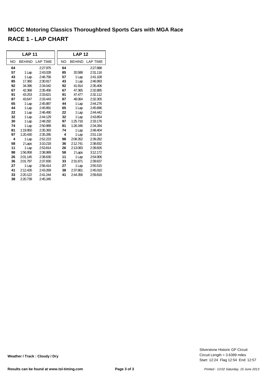|    | <b>LAP 11</b> |                 |           | <b>LAP 12</b> |                 |
|----|---------------|-----------------|-----------|---------------|-----------------|
| NO | <b>BEHIND</b> | <b>LAP TIME</b> | <b>NO</b> | <b>BEHIND</b> | <b>LAP TIME</b> |
| 64 |               | 2:27.975        | 64        |               | 2:27.888        |
| 57 | 1 Lap         | 2:43.028        | 85        | 20.588        | 2:31.116        |
| 43 | 1 Lap         | 2:46.756        | 57        | 1 Lap         | 2:41.108        |
| 85 | 17.360        | 2:30.917        | 43        | 1 Lap         | 2:46.993        |
| 92 | 34.396        | 2:34.042        | 92        | 41.914        | 2:35.406        |
| 67 | 42.368        | 2:35.456        | 67        | 47.365        | 2:32.885        |
| 91 | 43.253        | 2:33.621        | 91        | 47.477        | 2:32.112        |
| 87 | 43.647        | 2:33.443        | 87        | 48.064        | 2:32.305        |
| 65 | 1 Lap         | 2:45.887        | 44        | 1 Lap         | 2:44.276        |
| 44 | 1 Lap         | 2:45.891        | 65        | 1 Lap         | 2:45.696        |
| 22 | 1 Lap         | 2:46.490        | 22        | 1 Lap         | 2:44.442        |
| 32 | 1 Lap         | 2:44.129        | 32        | 1 Lap         | 2:43.854        |
| 30 | 1 Lap         | 2:48.292        | 97        | 1:25.718      | 2:33.176        |
| 74 | 1 Lap         | 2:50.989        | 81        | 1:26.346      | 2:34.284        |
| 81 | 1:19.950      | 2:35.393        | 74        | 1 Lap         | 2:48.404        |
| 97 | 1:20.430      | 2:35.285        | 4         | 1 Lap         | 2:51.116        |
| 4  | 1 Lap         | 2:52.223        | 98        | 2:08.352      | 2:39.282        |
| 58 | 2 Laps        | 3:10.218        | 36        | 2:12.741      | 2:38.832        |
| 11 | 1 Lap         | 2:53.814        | 26        | 2:13.083      | 2:39.826        |
| 98 | 1:56.958      | 2:38.989        | 58        | 2 Laps        | 3:12.172        |
| 26 | 2:01.145      | 2:38.630        | 11        | 1 Lap         | 2:54.906        |
| 36 | 2:01.797      | 2:37.830        | 33        | 2:31.871      | 2:39.637        |
| 27 | 1 Lap         | 2:56.414        | 27        | 1 Lap         | 2:55.515        |
| 41 | 2:12.426      | 2:43.269        | 38        | 2:37.861      | 2:45.010        |
| 33 | 2:20.122      | 2:41.244        | 41        | 2:44.356      | 2:59.818        |
| 38 | 2:20.739      | 2:45.345        |           |               |                 |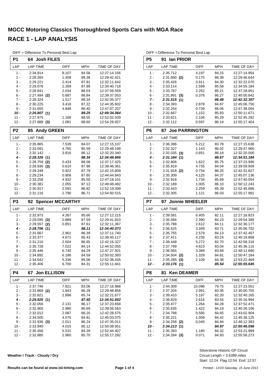| DIFF = Difference To Personal Best Lap |  |  |  |  |
|----------------------------------------|--|--|--|--|
|----------------------------------------|--|--|--|--|

| P1             | <b>Josh FILES</b><br>64.      |                |                |                              |
|----------------|-------------------------------|----------------|----------------|------------------------------|
| LAP            | <b>LAP TIME</b>               | DIFF           | <b>MPH</b>     | TIME OF DAY                  |
| $1 -$          | 2:34.914                      | 8.107          | 84.58          | 12:27:14.156                 |
| 2 -            | 2:28.265                      | 1.458          | 88.38          | 12:29:42.421                 |
| 3 -            | 2:29.221                      | 2.414          | 87.81          | 12:32:11.642                 |
| $4 -$          | 2:29.076                      | 2.269          | 87.89          | 12:34:40.718                 |
| 5 -            | 2:28.841                      | 2.034          | 88.03          | 12:37:09.559                 |
| 6 -            | 2:27.494<br>(2)               | 0.687          | 88.84          | 12:39:37.053                 |
| 7 -<br>8 -     | 2:28.324<br>2:30.225          | 1.517<br>3.418 | 88.34<br>87.22 | 12:42:05.377<br>12:44:35.602 |
| 9 -            | 2:31.655                      | 4.848          | 86.40          | 12:47:07.257                 |
| $10 -$         | 2:26.807(1)                   |                | 89.25          | 12:49:34.064                 |
| $11 -$         | 2:27.975                      | 1.168          | 88.55          | 12:52:02.039                 |
| $12 -$         | $2:27.888$ (3)                | 1.081          | 88.60          | 12:54:29.927                 |
| P <sub>2</sub> | <b>Andy GREEN</b><br>85       |                |                |                              |
| LAP            | <b>LAP TIME</b>               | <b>DIFF</b>    | MPH            | TIME OF DAY                  |
| $1 -$          | 2:35.865                      | 7.539          | 84.07          | 12:27:15.107                 |
| $2 -$          | 2:33.091                      | 4.765          | 85.59          | 12:29:48.198                 |
| 3 -            | 2:32.142                      | 3.816          | 86.12          | 12:32:20.340                 |
| 4 -            | 2:28.326<br>(1)               |                | 88.34          | 12:34:48.666                 |
| 5 -            | 2:28.759<br>(2)               | 0.433          | 88.08          | 12:37:17.425                 |
| 6 -            | 2:28.936<br>(3)               | 0.610          | 87.98          | 12:39:46.361                 |
| $7 -$          | 2:29.248                      | 0.922          | 87.79          | 12:42:15.609                 |
| 8 -            | 2:29.234                      | 0.908          | 87.80          | 12:44:44.843                 |
| 9 -<br>$10 -$  | 2:33.258                      | 4.932          | 85.50<br>87.13 | 12:47:18.101                 |
| 11 -           | 2:30.381<br>2:30.917          | 2.055<br>2.591 | 86.82          | 12:49:48.482<br>12:52:19.399 |
| $12 -$         | 2:31.116                      | 2.790          | 86.71          | 12:54:50.515                 |
|                |                               |                |                |                              |
|                |                               |                |                |                              |
| P3             | <b>Spencer MCCARTHY</b><br>92 |                |                |                              |
| LAP            | <b>LAP TIME</b>               | <b>DIFF</b>    | <b>MPH</b>     | TIME OF DAY                  |
| $1 -$          | 2:32.973                      | 4.267          | 85.66          | 12:27:12.215                 |
| 2 -            | 2:29.595<br>(3)               | 0.889          | 87.59          | 12:29:41.810                 |
| 3 -            | 2:29.557<br>(2)               | 0.851          | 87.61          | 12:32:11.367                 |
| 4 -            | 2:28.706<br>(1)               |                | 88.11          | 12:34:40.073                 |
| 5 -            | 2:31.667                      | 2.961          | 86.39          | 12:37:11.740                 |
| 6 -            | 2:33.377                      | 4.671          | 85.43          | 12:39:45.117                 |
| 7 -            | 2:31.210                      | 2.504          | 86.65          | 12:42:16.327                 |
| 8 -            | 2:35.728                      | 7.022          | 84.14          | 12:44:52.055                 |
| 9 -<br>10 -    | 2:35.446<br>2:34.892          | 6.740          | 84.29          | 12:47:27.501                 |
| 11 -           | 2:34.042                      | 6.186<br>5.336 | 84.59<br>85.06 | 12:50:02.393<br>12:52:36.435 |
| 12 -           | 2:35.406                      | 6.700          | 84.31          | 12:55:11.841                 |
| <b>P4</b>      | <b>Jon ELLISON</b><br>67      |                |                |                              |
| LAP            | <b>LAP TIME</b>               | <b>DIFF</b>    | <b>MPH</b>     | TIME OF DAY                  |
| 1 -            | 2:37.746                      | 7.821          | 83.06          | 12:27:16.988                 |
| $2 -$          | $2:31.868$ (2)                | 1.943          | 86.28          | 12:29:48.856                 |
| $3 -$          | 2:32.821                      | 2.896          | 85.74          | 12:32:21.677                 |
| 4 -            | 2:29.925 (1)                  |                | 87.40          | 12:34:51.602                 |
| $5 -$          | 2:32.056                      | 2.131          | 86.17          | 12:37:23.658                 |
| 6 -            | 2:32.905                      | 2.980          | 85.69          | 12:39:56.563                 |
| 7 -            | 2:32.012                      | 2.087          | 86.20          | 12:42:28.575                 |
| $8 -$          | 2:34.500                      | 4.575          | 84.81          | 12:45:03.075                 |
| $9 -$          | 2:31.936<br>(3)               | 2.011          | 86.24          | 12:47:35.011                 |
| $10 -$         | 2:33.940                      | 4.015          | 85.12          | 12:50:08.951                 |
| $11 -$<br>12 - | 2:35.456<br>2:32.885          | 5.531<br>2.960 | 84.29<br>85.70 | 12:52:44.407<br>12:55:17.292 |

| Weather / Track : Cloudy / Dry |  |  |  |
|--------------------------------|--|--|--|
|--------------------------------|--|--|--|

DIFF = Difference To Personal Best Lap

| P5             | 91 Ian PRIOR                  |                |                |                              |
|----------------|-------------------------------|----------------|----------------|------------------------------|
| LAP            | <b>LAP TIME</b>               | <b>DIFF</b>    | <b>MPH</b>     | TIME OF DAY                  |
| 1 -            | 2:35.712                      | 4.197          | 84.15          | 12:27:14.954                 |
| 2 -            | $2:31.690$ (2)                | 0.175          | 86.38          | 12:29:46.644                 |
| 3 -            | 2:35.426                      | 3.911          | 84.30          | 12:32:22.070                 |
| $4 -$          | 2:33.114                      | 1.599          | 85.58          | 12:34:55.184                 |
| 5 -<br>6 -     | 2:33.767<br>2:31.891          | 2.252<br>0.376 | 85.21<br>86.27 | 12:37:28.951<br>12:40:00.842 |
| $7 -$          | (3)<br>2:31.515(1)            |                | 86.48          | 12:42:32.357                 |
| 8 -            | 2:34.393                      | 2.878          | 84.87          | 12:45:06.750                 |
| 9 -            | 2:32.254                      | 0.739          | 86.06          | 12:47:39.004                 |
| $10 -$         | 2:32.667                      | 1.152          | 85.83          | 12:50:11.671                 |
| $11 -$         | 2:33.621                      | 2.106          | 85.29          | 12:52:45.292                 |
| $12 -$         | 2:32.112                      | 0.597          | 86.14          | 12:55:17.404                 |
| P6             | <b>Joe PARRINGTON</b><br>87   |                |                |                              |
| LAP            | <b>LAP TIME</b>               | <b>DIFF</b>    | <b>MPH</b>     | TIME OF DAY                  |
| $1 -$          | 2:36.396                      | 5.212          | 83.78          | 12:27:15.638                 |
| 2 -            | 2:32.327                      | 1.143          | 86.02          | 12:29:47.965                 |
| 3 -            | $2:32.035$ (3)                | 0.851          | 86.18          | 12:32:20.000                 |
| $4 -$<br>$5 -$ | 2:31.184(1)<br>2:32.806       | 1.622          | 86.67<br>85.75 | 12:34:51.184<br>12:37:23.990 |
| 6 -            | 2:35.919                      | 4.735          | 84.04          | 12:39:59.909                 |
| $7 -$          | 2:31.918 (2)                  | 0.734          | 86.25          | 12:42:31.827                 |
| $8 -$          | 2:35.309                      | 4.125          | 84.37          | 12:45:07.136                 |
| 9 -            | 2:32.918                      | 1.734          | 85.69          | 12:47:40.054                 |
| $10 -$         | 2:32.189                      | 1.005          | 86.10          | 12:50:12.243                 |
| $11 -$         | 2:33.443                      | 2.259          | 85.39          | 12:52:45.686                 |
| $12 -$         | 2:32.305                      | 1.121          | 86.03          | 12:55:17.991                 |
|                |                               |                |                |                              |
| P7             | <b>Jonnie WHEELER</b><br>97   |                |                |                              |
| LAP            | <b>LAP TIME</b>               | <b>DIFF</b>    | <b>MPH</b>     | TIME OF DAY                  |
| 1 -            | 2:39.581                      | 6.405          | 82.11          | 12:27:18.823                 |
| 2 -            | 2:35.566                      | 2.390          | 84.23          | 12:29:54.389                 |
| $3 -$          | 2:35.788                      | 2.612          | 84.11          | 12:32:30.177                 |
| $4 -$          | 2:36.525<br>2:35.755          | 3.349          | 83.71          | 12:35:06.702                 |
| 5 -<br>6 -     | 2:37.411                      | 2.579<br>4.235 | 84.13<br>83.24 | 12:37:42.457<br>12:40:19.868 |
| $7 -$          | 2:38.448                      | 5.272          | 82.70          | 12:42:58.316                 |
| 8 -            | 2:37.799                      | 4.623          | 83.04          | 12:45:36.115                 |
| 9 -            | 2:36.565                      | 3.389          | 83.69          | 12:48:12.680                 |
| 10 -           | $2:34.504$ (2)                | 1.328          | 84.81          | 12:50:47.184                 |
| 11 -<br>$12 -$ | $2:35.285$ (3)<br>2:33.176(1) | 2.109          | 84.38<br>85.54 | 12:53:22.469<br>12:55:55.645 |
| P8             | <b>Ken DEAMER</b><br>81       |                |                |                              |
| LAP            | <b>LAP TIME</b>               | DIFF           | <b>MPH</b>     | TIME OF DAY                  |
| 1 -            | 2:44.309                      | 10.096         | 79.75          | 12:27:23.551                 |
| 2 -            | 2:37.204                      | 2.991          | 83.35          | 12:30:00.755                 |
| $3 -$          | 2:39.410                      | 5.197          | 82.20          | 12:32:40.165                 |
| 4 -            | 2:36.829                      | 2.616          | 83.55          | 12:35:16.994                 |
| $5 -$          | 2:35.477                      | 1.264          | 84.28          | 12:37:52.471                 |
| $6 -$<br>$7 -$ | 2:35.635                      | 1.422<br>0.585 | 84.19          | 12:40:28.106                 |
| $8 -$          | 2:34.798<br>2:35.221          | 1.008          | 84.65<br>84.42 | 12:43:02.904<br>12:45:38.125 |
| 9 -            | $2:34.258$ (2)                | 0.045          | 84.94          | 12:48:12.383                 |
| 10 -           | 2:34.213(1)                   |                | 84.97          | 12:50:46.596                 |
| $11 -$<br>12 - | 2:35.393<br>$2:34.284$ (3)    | 1.180<br>0.071 | 84.32<br>84.93 | 12:53:21.989<br>12:55:56.273 |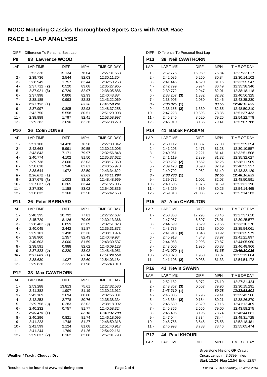| - Diricicrice To Fersonal Dest Eap |                            |                |                |                              |
|------------------------------------|----------------------------|----------------|----------------|------------------------------|
| P9                                 | 98 Lawrence WOOD           |                |                |                              |
| LAP                                | <b>LAP TIME</b>            | <b>DIFF</b>    | <b>MPH</b>     | TIME OF DAY                  |
| $1 -$                              | 2:52.326                   | 15.134         | 76.04          | 12:27:31.568                 |
| 2 -                                | 2:39.736                   | 2.544          | 82.03          | 12:30:11.304                 |
| 3 -                                | 2:38.949                   | 1.757          | 82.44          | 12:32:50.253                 |
| 4 -                                | 2:37.712<br>(2)            | 0.520          | 83.08          | 12:35:27.965                 |
| 5 -                                | 2:37.921<br>(3)            | 0.729          | 82.97          | 12:38:05.886                 |
| 6 -                                | 2:37.998                   | 0.806          | 82.93          | 12:40:43.884                 |
| $7 -$                              | 2:38.185                   | 0.993          | 82.83          | 12:43:22.069                 |
| 8 -                                | 2:37.192(1)                |                | 83.36          | 12:45:59.261                 |
| 9 -                                | 2:37.997                   | 0.805          | 82.93          | 12:48:37.258                 |
| 10 -                               | 2:42.750                   | 5.558          | 80.51          | 12:51:20.008                 |
| $11 -$                             | 2:38.989                   | 1.797          | 82.41          | 12:53:58.997                 |
| $12 -$                             | 2:39.282                   | 2.090          | 82.26          | 12:56:38.279                 |
|                                    |                            |                |                |                              |
| <b>P10</b>                         | <b>Colin JONES</b><br>36   |                |                |                              |
| LAP                                | <b>LAP TIME</b>            | <b>DIFF</b>    | <b>MPH</b>     | TIME OF DAY                  |
| 1 -                                | 2:51.100                   | 14.428         | 76.58          | 12:27:30.342                 |
| 2 -                                | 2:42.663                   | 5.991          | 80.55          | 12:30:13.005                 |
| 3 -                                | 2:43.843                   | 7.171          | 79.97          | 12:32:56.848                 |
| $4 -$                              | 2:40.774                   | 4.102          | 81.50          | 12:35:37.622                 |
| 5 -                                | 2:39.738                   | 3.066          | 82.03          | 12:38:17.360                 |
| 6 -                                | 2:38.618                   | 1.946          | 82.61          | 12:40:55.978                 |
| 7 -                                | 2:38.644                   | 1.972          | 82.59          | 12:43:34.622                 |
| 8 -                                | 2:36.672<br>(1)            |                | 83.63          | 12:46:11.294                 |
| 9 -                                | 2:37.675<br>(3)            | 1.003          | 83.10          | 12:48:48.969                 |
| $10 -$                             | 2:37.037<br>(2)            | 0.365          | 83.44          | 12:51:26.006                 |
| $11 -$                             | 2:37.830                   | 1.158          | 83.02          | 12:54:03.836                 |
| $12 -$                             | 2:38.832                   | 2.160          | 82.50          | 12:56:42.668                 |
|                                    |                            |                |                |                              |
| P11                                | <b>Peter BARNARD</b><br>26 |                |                |                              |
| LAP                                | <b>LAP TIME</b>            | DIFF           | <b>MPH</b>     | TIME OF DAY                  |
|                                    |                            |                |                |                              |
| 1 -<br>2 -                         | 2:48.395                   | 10.792         | 77.81          | 12:27:27.637                 |
|                                    | 2:45.729                   | 8.126          | 79.06          | 12:30:13.366                 |
| 3 -<br>$4 -$                       | $2:38.462$ (3)<br>2:40.045 | 0.859          | 82.69          | 12:32:51.828<br>12:35:31.873 |
|                                    |                            | 2.442          | 81.87          |                              |
| 5 -<br>6 -                         | 2:39.101                   | 1.498<br>1.357 | 82.36          | 12:38:10.974<br>12:40:49.934 |
|                                    | 2:38.960                   |                | 82.43          |                              |
| 7 -                                | 2:40.603                   | 3.000          | 81.59          | 12:43:30.537                 |
| 8 -                                | 2:38.591                   | 0.988          | 82.62          | 12:46:09.128                 |
| 9 -                                | $2:37.823$ (2)             | 0.220          | 83.02          | 12:48:46.951                 |
| 10 -                               | 2:37.603(1)                |                | 83.14          | 12:51:24.554                 |
| 11 -<br>$12 -$                     | 2:38.630<br>2:39.826       | 1.027<br>2.223 | 82.60<br>81.98 | 12:54:03.184<br>12:56:43.010 |
| P12                                | <b>Max CAWTHORN</b><br>33  |                |                |                              |
| LAP                                | <b>LAP TIME</b>            | DIFF           | <b>MPH</b>     | TIME OF DAY                  |
|                                    |                            |                |                |                              |
| 1 -                                | 2:53.288                   | 13.813         | 75.61          | 12:27:32.530                 |
| $2 -$<br>3 -                       | 2:41.382                   | 1.907          | 81.19          | 12:30:13.912                 |
|                                    | 2:42.169                   | 2.694          | 80.80          | 12:32:56.081                 |
| $4 -$                              | 2:42.253                   | 2.778          | 80.76          | 12:35:38.334                 |
| $5$ - $\,$                         | $2:39.758$ (3)             | 0.283          | 82.02          | 12:38:18.092<br>12:40:58.324 |
| 6 -                                | 2:40.232                   | 0.757          | 81.77          |                              |
| $7 -$                              | 2:39.475(1)                |                | 82.16          | 12:43:37.799                 |
| 8 -                                | 2:40.296                   | 0.821          | 81.74          | 12:46:18.095                 |
| 9 -                                | 2:41.223                   | 1.748          | 81.27          | 12:48:59.318                 |
| $10 -$<br>11 -                     | 2:41.599<br>2:41.244       | 2.124<br>1.769 | 81.08<br>81.26 | 12:51:40.917<br>12:54:22.161 |

DIFF = Difference To Personal Best Lap

**P13 38 Neil CAWTHORN** LAP LAP TIME DIFF MPH TIME OF DAY 1 - 2:52.775 15.950 12:27:32.017 75.84 2 - 2:42.085 5.260 12:30:14.102 80.84 3 - 2:41.445 4.620 12:32:55.547 81.16 4 2:42.799 5.974 80.49 12:35:38.346<br>5 2:39.772 2.947 82.01 12:38:18.118 2:39.772 2.947 82.01 12:38:18.118 6 - 2:38.207 1.382 12:40:56.325 **(3)** 82.82 7 - 2:38.905 2.080 12:43:35.230 82.46 *8 - 2:36.825 12:46:12.055* **(1)** *83.55* 9 - 2:38.155 **(2)** 1.330 82.85 12:48:50.210 10 - 2:47.223 10.398 12:51:37.433 78.36 11 - 2:45.345 8.520 12:54:22.778 79.25 12 - 2:45.010 8.185 79.41 12:57:07.788 **P14 41 Babak FARSIAN** LAP LAP TIME DIFF MPH TIME OF DAY 1 - 2:50.112 11.382 12:27:29.354 77.03 2 - 2:41.203 2.473 12:30:10.557 81.28 3 - 2:40.951 2.221 81.41 12:32:51.508 4 - 2:41.119 2.389 12:35:32.627 81.32 5 - 2:39.282 0.552 12:38:11.909 **(2)** 82.26 6 - 2:39.428 0.698 12:40:51.337 **(3)** 82.19 7 - 2:40.792 2.062 12:43:32.129 81.49 *8 - 2:38.730 12:46:10.859* **(1)** *82.55* 9 - 2:39.732 1.002 12:48:50.591 82.03 10 - 2:40.605 1.875 12:51:31.196 81.59 11 - 2:43.269 4.539 12:54:14.465 80.25 12 - 2:59.818 21.088 12:57:14.283 72.87 **P15 57 Alan CHARLTON** LAP LAP TIME DIFF MPH TIME OF DAY 1 - 2:58.368 17.298 12:27:37.610 73.46 2 - 2:47.967 6.897 78.01 12:30:25.577<br>3 - 2:44.699 3.629 79.56 12:33:10.276 2:44.699 3.629 79.56 12:33:10.276 4 - 2:43.785 2.715 80.00 12:35:54.061 5 - 2:41.918 (3) 0.848 80.92 12:38:35.979 6 - 2:45.918 4.848 12:41:21.897 78.97 7 - 2:44.063 2.993 12:44:05.960 79.87 8 - 2:43.006 1.936 12:46:48.966 80.38 *9 - 2:41.070 12:49:30.036* **(1)** *81.35* 10 - 2:43.028 1.958 12:52:13.064 80.37 11 - 2:41.108 (2) 0.038 81.33 12:54:54.172 **P16 43 Kevin SWANN** LAP LAP TIME DIFF MPH TIME OF DAY 1 - 2:52.182 8.972 76.10 12:27:31.424 2 - 2:43.867 0.657 12:30:15.291 **(3)** 79.96 *3 - 2:43.210 12:32:58.501* **(1)** *80.28* 4 - 2:45.005 1.795 12:35:43.506 79.41 5 - 2:43.364 0.154 12:38:26.870 **(2)** 80.21 6 - 2:45.539 2.329 12:41:12.409 79.15 7 - 2:45.866 2.656 12:43:58.275 79.00 8 - 2:46.406 3.196 78.74 12:46:44.681 9 - 2:47.044 3.834 78.44 12:49:31.725 10 - 2:46.756 3.546 12:52:18.481 78.58 11 - 2:46.993 3.783 78.46 12:55:05.474 **P17 44 Paul KHOURI** LAP LAP TIME DIFF MPH TIME OF DAY

DIFF = Difference To Personal Best Lap

**Weather / Track : Cloudy / Dry**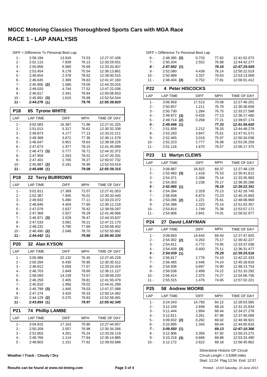|                 | DIFF = Difference To Personal Best Lap |                |                |                              |
|-----------------|----------------------------------------|----------------|----------------|------------------------------|
| 1 -             | 2.58.194                               | 13.918         | 73.53          | 12:27:37.436                 |
| 2 -             | 2:52.115                               | 7.839          | 76.13          | 12:30:29.551                 |
| 3 -             | 2:50.856                               | 6.580          | 76.69          | 12:33:20.407                 |
| 4 -             | 2:53.454                               | 9.178          | 75.54          | 12:36:13.861                 |
| 5 -             | 2:46.654                               | 2.378          | 78.62          | 12:39:00.515                 |
| $6 -$           | 2:46.645                               | 2.369          | 78.63          | 12:41:47.160                 |
| $7 -$           | $2:45.856$ (2)                         | 1.580          | 79.00          | 12:44:33.016                 |
| 8 -<br>9 -      | 2:49.020<br>2:46.617                   | 4.744<br>2.341 | 77.52<br>78.64 | 12:47:22.036<br>12:50:08.653 |
| 10 -            | 2:45.891<br>(3)                        | 1.615          | 78.99          | 12:52:54.544                 |
| 11 -            | 2:44.276(1)                            |                | 79.76          | 12:55:38.820                 |
| <b>P18</b>      | <b>Tyrone WHITE</b><br>65              |                |                |                              |
| LAP             | <b>LAP TIME</b>                        | <b>DIFF</b>    | MPH            | TIME OF DAY                  |
| 1 -             | 3:02.083                               | 16.387         | 71.96          | 12:27:41.325                 |
| $2 -$           | 2:51.013                               | 5.317          | 76.62          | 12:30:32.338                 |
| 3 -             | 2:49.873                               | 4.177          | 77.13          | 12:33:22.211                 |
| 4 -             | 2:49.368                               | 3.672          | 77.36          | 12:36:11.579                 |
| 5 -             | 2:46.647                               | 0.951          | 78.63          | 12:38:58.226                 |
| $6 -$           | 2:47.673                               | 1.977          | 78.15          | 12:41:45.899                 |
| 7 -             | $2:46.473$ (3)                         | 0.777          | 78.71          | 12:44:32.372                 |
| 8 -             | 2:47.959                               | 2.263          | 78.01          | 12:47:20.331                 |
| 9 -             | 2:47.401                               | 1.705          | 78.27          | 12:50:07.732                 |
| $10 -$          | $2:45.887$ (2)                         | 0.191          | 78.99          | 12:52:53.619                 |
| 11 -            | 2:45.696(1)                            |                | 79.08          | 12:55:39.315                 |
| P <sub>19</sub> | <b>Terry BURROWS</b><br>22             |                |                |                              |
| LAP             | <b>LAP TIME</b>                        | <b>DIFF</b>    | <b>MPH</b>     | TIME OF DAY                  |
| 1 -             | 3:01.811                               | 17.369         | 72.07          | 12:27:41.053                 |
| 2 -             | 2:52.387                               | 7.945          | 76.01          | 12:30:33.440                 |
| 3 -<br>$4 -$    | 2:49.932<br>2:48.846                   | 5.490<br>4.404 | 77.11<br>77.60 | 12:33:23.372<br>12:36:12.218 |
| 5 -             | 2:47.079                               | 2.637          | 78.42          | 12:38:59.297                 |
| 6 -             | 2:47.369                               | 2.927          | 78.29          | 12:41:46.666                 |
| $7 -$           | 2:46.971<br>(3)                        | 2.529          | 78.47          | 12:44:33.637                 |
| 8 -             | 2:47.533                               | 3.091          | 78.21          | 12:47:21.170                 |
| 9 -             | 2:48.232                               | 3.790          | 77.89          | 12:50:09.402                 |
| $10 -$          | 2:46.490<br>(2)                        | 2.048          | 78.70          | 12:52:55.892                 |
| 11 -            | 2:44.442(1)                            |                | 79.68          | 12:55:40.334                 |
| <b>P20</b>      | 32 Alan KYSON                          |                |                |                              |
| LAP             | LAP TIME                               | <b>DIFF</b>    | <b>MPH</b>     | TIME OF DAY                  |
| 1 -             | 3:05.986                               | 22.132         | 70.45          | 12:27:45.228                 |
| $2 -$           | 2:50.284                               | 6.430          | 76.95          | 12:30:35.512                 |
| 3 -             | 2:48.912                               | 5.058          | 77.57          | 12:33:24.424                 |
| 4 -             |                                        |                |                |                              |
|                 | 2:46.703                               | 2.849          | 78.60          | 12:36:11.127                 |
| 5 -             | 2:58.093                               | 14.239         | 73.57          | 12:39:09.220                 |
| 6 -             | 2:46.259                               | 2.405          | 78.81          | 12:41:55.479                 |
| 7 -             | 2:45.810                               | 1.956          | 79.02          | 12:44:41.289                 |
| $8 -$           | $2:45.799$ (3)                         | 1.945          | 79.03          | 12:47:27.088                 |
| 9 -<br>10 -     | 2:47.274<br>2:44.129 (2)               | 3.420<br>0.275 | 78.33<br>79.83 | 12:50:14.362<br>12:52:58.491 |
| 11 -            | 2:43.854(1)                            |                | 79.97          | 12:55:42.345                 |
| P21             | 74<br><b>Phillip LAMBE</b>             |                |                |                              |
| LAP             | <b>LAP TIME</b>                        | DIFF           | <b>MPH</b>     | TIME OF DAY                  |
| 1 -             | 3:04.815                               | 17.163         | 70.90          | 12:27:44.057                 |
| 2 -             | 2:50.209                               | 2.557          | 76.98          | 12:30:34.266                 |
| 3 -             | 2:51.853                               | 4.201          | 76.24          | 12:33:26.119                 |
| 4 -             | 2:48.766                               | 1.114          | 77.64          | 12:36:14.885                 |

**Weather / Track : Cloudy / Dry**

|        | DIFF = Difference To Personal Best Lap |       |       |              |
|--------|----------------------------------------|-------|-------|--------------|
| 6 -    | $2:48.385$ (2)                         | 0.733 | 77.82 | 12:41:52.073 |
| 7 -    | 2:50.204                               | 2.552 | 76.98 | 12:44:42.277 |
| 8 -    | 2:47.652(1)                            |       | 78.16 | 12:47:29.929 |
| 9 -    | 2:52.090                               | 4.438 | 76.14 | 12:50:22.019 |
| $10 -$ | 2:50.989                               | 3.337 | 76.63 | 12:53:13.008 |
| $11 -$ | $2:48.404$ (3)                         | 0.752 | 77.81 | 12:56:01.412 |

| <b>P22</b>      | 4 Peter HISCOCKS           |             |            |                    |  |
|-----------------|----------------------------|-------------|------------|--------------------|--|
| LAP             | <b>LAP TIME</b>            | <b>DIFF</b> | <b>MPH</b> | <b>TIME OF DAY</b> |  |
| $1 -$           | 3:06.959                   | 17.513      | 70.08      | 12:27:46.201       |  |
| $2 -$           | 2:50.657                   | 1.211       | 76.78      | 12:30:36.858       |  |
| $3 -$           | 2:50.730                   | 1.284       | 76.75      | 12:33:27.588       |  |
| $4 -$           | 2:49.872<br>(3)            | 0.426       | 77.13      | 12:36:17.460       |  |
| $5 -$           | 2:49.714<br>(2)            | 0.268       | 77.21      | 12:39:07.174       |  |
| $6 -$           | 2:49.446<br>(1)            |             | 77.33      | 12:41:56.620       |  |
| $7 -$           | 2:51.658                   | 2.212       | 76.33      | 12:44:48.278       |  |
| $8 -$           | 2:53.293                   | 3.847       | 75.61      | 12:47:41.571       |  |
| $9 -$           | 2:52.465                   | 3.019       | 75.97      | 12:50:34.036       |  |
| $10 -$          | 2:52.223                   | 2.777       | 76.08      | 12:53:26.259       |  |
| $11 -$          | 2:51.116                   | 1.670       | 76.57      | 12:56:17.375       |  |
| P <sub>23</sub> | <b>Martyn CLEWS</b><br>11  |             |            |                    |  |
| LAP             | <b>LAP TIME</b>            | <b>DIFF</b> | <b>MPH</b> | <b>TIME OF DAY</b> |  |
| 1 -             | 3:08.887                   | 16.822      | 69.37      | 12:27:48.129       |  |
| $2 -$           | $2:53.483$ (3)             | 1.418       | 75.53      | 12:30:41.612       |  |
| $3 -$           | 2:54.371                   | 2.306       | 75.14      | 12:33:35.983       |  |
| $4 -$           | 2:54.303                   | 2.238       | 75.17      | 12:36:30.286       |  |
| $5 -$           | 2:52.065(1)                |             |            |                    |  |
|                 |                            |             | 76.15      | 12:39:22.351       |  |
| $6 -$           | 2:54.394                   | 2.329       | 75.13      | 12:42:16.745       |  |
| $7 -$           | 2:58.938                   | 6.873       | 73.23      | 12:45:15.683       |  |
| $8 -$           | 2:53.286 (2)               | 1.221       | 75.61      | 12:48:08.969       |  |
| $9 -$           | 2:54.388                   | 2.323       | 75.14      | 12:51:03.357       |  |
| $10 -$          | 2:53.814                   | 1.749       | 75.38      | 12:53:57.171       |  |
| $11 -$          | 2:54.906                   | 2.841       | 74.91      | 12:56:52.077       |  |
| P <sub>24</sub> | <b>David LAMYMAN</b><br>27 |             |            |                    |  |
| LAP             | <b>LAP TIME</b>            | <b>DIFF</b> | <b>MPH</b> | <b>TIME OF DAY</b> |  |
| $1 -$           | 3:08.683                   | 14.644      | 69.44      | 12:27:47.925       |  |

| - .    |                 |        |       |              |
|--------|-----------------|--------|-------|--------------|
| $1 -$  | 3:08.683        | 14.644 | 69.44 | 12:27:47.925 |
| $2 -$  | $2:54.302$ (2)  | 0.263  | 75.17 | 12:30:42.227 |
| $3 -$  | 2:54.811        | 0.772  | 74.95 | 12:33:37.038 |
| 4 -    | 2:54.439<br>(3) | 0.400  | 75.11 | 12:36:31.477 |
| 5 -    | 2:54.039(1)     |        | 75.29 | 12:39:25.516 |
| 6 -    | 2:56.817        | 2.778  | 74.10 | 12:42:22.333 |
| 7 -    | 2:56.485        | 2.446  | 74.24 | 12:45:18.818 |
| 8 -    | 2:54.936        | 0.897  | 74.90 | 12:48:13.754 |
| 9 -    | 2:56.538        | 2.499  | 74.22 | 12:51:10.292 |
| $10 -$ | 2:56.414        | 2.375  | 74.27 | 12:54:06.706 |
| 11 -   | 2:55.515        | 1.476  | 74.65 | 12:57:02.221 |

| P25   |                 | 58 Andrew MOORE |            |              |  |  |
|-------|-----------------|-----------------|------------|--------------|--|--|
| LAP   | <b>LAP TIME</b> | <b>DIFF</b>     | <b>MPH</b> | TIME OF DAY  |  |  |
| 1 -   | 3:24.343        | 14.793          | 64.12      | 12:28:03.585 |  |  |
| $2 -$ | 3:12.249        | 2.699           | 68.16      | 12:31:15.834 |  |  |
| $3 -$ | 3:11.444        | 1.894           | 68.44      | 12:34:27.278 |  |  |
| 4 -   | 3:12.811        | 3.261           | 67.96      | 12:37:40.089 |  |  |
| $5 -$ | $3:09.832$ (2)  | 0.282           | 69.02      | 12:40:49.921 |  |  |
| $6 -$ | 3:10.895        | 1.345           | 68.64      | 12:44:00.816 |  |  |
| $7 -$ | 3:09.550(1)     |                 | 69.13      | 12:47:10.366 |  |  |
| 8 -   | 3:12.906        | 3.356           | 67.92      | 12:50:23.272 |  |  |
| 9 -   | 3:10.218<br>(3) | 0.668           | 68.88      | 12:53:33.490 |  |  |
| 10 -  | 3:12.172        | 2.622           | 68.18      | 12:56:45.662 |  |  |